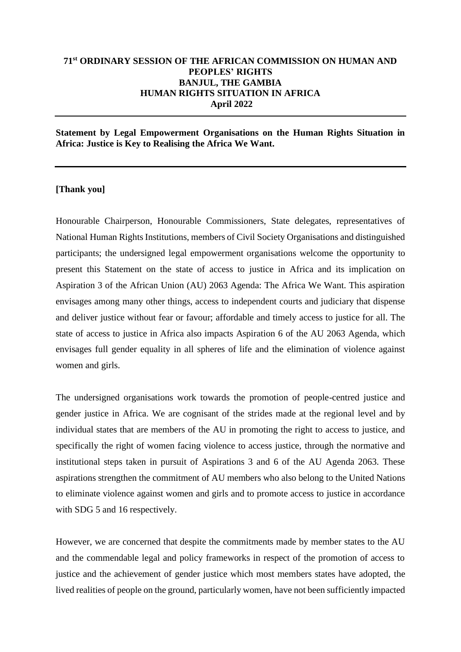# **71st ORDINARY SESSION OF THE AFRICAN COMMISSION ON HUMAN AND PEOPLES' RIGHTS BANJUL, THE GAMBIA HUMAN RIGHTS SITUATION IN AFRICA April 2022**

**Statement by Legal Empowerment Organisations on the Human Rights Situation in Africa: Justice is Key to Realising the Africa We Want.**

## **[Thank you]**

Honourable Chairperson, Honourable Commissioners, State delegates, representatives of National Human Rights Institutions, members of Civil Society Organisations and distinguished participants; the undersigned legal empowerment organisations welcome the opportunity to present this Statement on the state of access to justice in Africa and its implication on Aspiration 3 of the African Union (AU) 2063 Agenda: The Africa We Want. This aspiration envisages among many other things, access to independent courts and judiciary that dispense and deliver justice without fear or favour; affordable and timely access to justice for all. The state of access to justice in Africa also impacts Aspiration 6 of the AU 2063 Agenda, which envisages full gender equality in all spheres of life and the elimination of violence against women and girls.

The undersigned organisations work towards the promotion of people-centred justice and gender justice in Africa. We are cognisant of the strides made at the regional level and by individual states that are members of the AU in promoting the right to access to justice, and specifically the right of women facing violence to access justice, through the normative and institutional steps taken in pursuit of Aspirations 3 and 6 of the AU Agenda 2063. These aspirations strengthen the commitment of AU members who also belong to the United Nations to eliminate violence against women and girls and to promote access to justice in accordance with SDG 5 and 16 respectively.

However, we are concerned that despite the commitments made by member states to the AU and the commendable legal and policy frameworks in respect of the promotion of access to justice and the achievement of gender justice which most members states have adopted, the lived realities of people on the ground, particularly women, have not been sufficiently impacted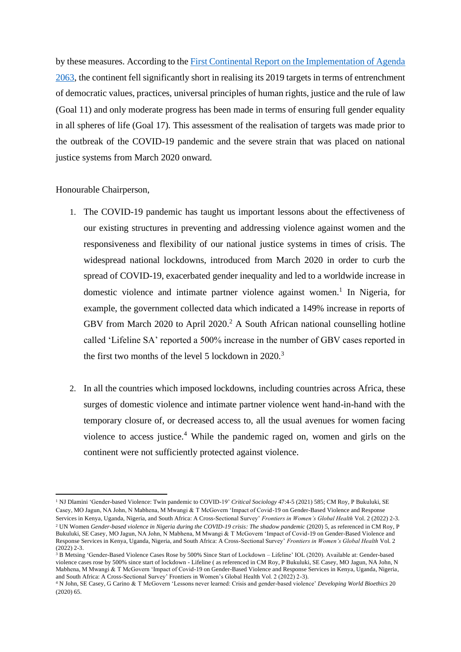by these measures. According to th[e First Continental Report on the Implementation of Agenda](https://au.int/sites/default/files/documents/38060-doc-agenda_2063_implementation_report_en_web_version.pdf)  [2063,](https://au.int/sites/default/files/documents/38060-doc-agenda_2063_implementation_report_en_web_version.pdf) the continent fell significantly short in realising its 2019 targets in terms of entrenchment of democratic values, practices, universal principles of human rights, justice and the rule of law (Goal 11) and only moderate progress has been made in terms of ensuring full gender equality in all spheres of life (Goal 17). This assessment of the realisation of targets was made prior to the outbreak of the COVID-19 pandemic and the severe strain that was placed on national justice systems from March 2020 onward.

#### Honourable Chairperson,

- 1. The COVID-19 pandemic has taught us important lessons about the effectiveness of our existing structures in preventing and addressing violence against women and the responsiveness and flexibility of our national justice systems in times of crisis. The widespread national lockdowns, introduced from March 2020 in order to curb the spread of COVID-19, exacerbated gender inequality and led to a worldwide increase in domestic violence and intimate partner violence against women.<sup>1</sup> In Nigeria, for example, the government collected data which indicated a 149% increase in reports of GBV from March 2020 to April 2020.<sup>2</sup> A South African national counselling hotline called 'Lifeline SA' reported a 500% increase in the number of GBV cases reported in the first two months of the level 5 lockdown in  $2020$ .<sup>3</sup>
- 2. In all the countries which imposed lockdowns, including countries across Africa, these surges of domestic violence and intimate partner violence went hand-in-hand with the temporary closure of, or decreased access to, all the usual avenues for women facing violence to access justice.<sup>4</sup> While the pandemic raged on, women and girls on the continent were not sufficiently protected against violence.

<sup>1</sup> NJ Dlamini 'Gender-based Violence: Twin pandemic to COVID-19' *Critical Sociology* 47:4-5 (2021) 585; CM Roy, P Bukuluki, SE Casey, MO Jagun, NA John, N Mabhena, M Mwangi & T McGovern 'Impact of Covid-19 on Gender-Based Violence and Response

Services in Kenya, Uganda, Nigeria, and South Africa: A Cross-Sectional Survey' *Frontiers in Women's Global Health* Vol. 2 (2022) 2-3. <sup>2</sup> UN Women *Gender-based violence in Nigeria during the COVID-19 crisis: The shadow pandemic (2020)* 5, as referenced in CM Roy, P Bukuluki, SE Casey, MO Jagun, NA John, N Mabhena, M Mwangi & T McGovern 'Impact of Covid-19 on Gender-Based Violence and Response Services in Kenya, Uganda, Nigeria, and South Africa: A Cross-Sectional Survey' *Frontiers in Women's Global Health* Vol. 2  $(2022)$  2-3.

<sup>&</sup>lt;sup>3</sup> B Metsing 'Gender-Based Violence Cases Rose by 500% Since Start of Lockdown – Lifeline' IOL (2020). Available at: Gender-based [violence cases rose by 500% since start of lockdown -](https://www.iol.co.za/the-star/news/gender-based-violence-cases-rose-by-500-since-start-of-lockdown-lifeline-48193496) Lifeline ( as referenced in CM Roy, P Bukuluki, SE Casey, MO Jagun, NA John, N Mabhena, M Mwangi & T McGovern 'Impact of Covid-19 on Gender-Based Violence and Response Services in Kenya, Uganda, Nigeria, and South Africa: A Cross-Sectional Survey' Frontiers in Women's Global Health Vol. 2 (2022) 2-3).

<sup>4</sup> N John, SE Casey, G Carino & T McGovern 'Lessons never learned: Crisis and gender-based violence' *Developing World Bioethics* 20 (2020) 65.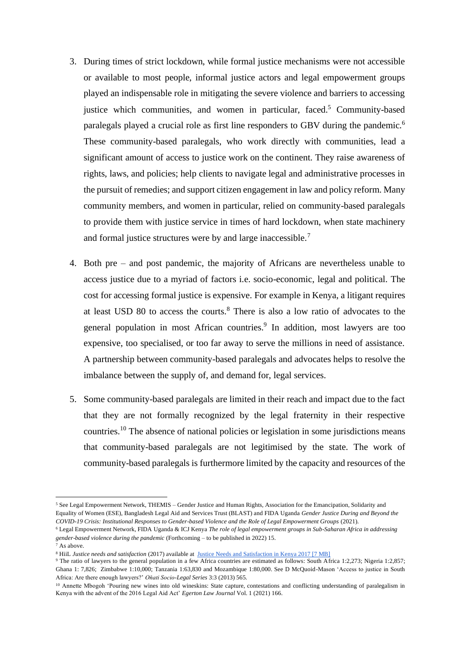- 3. During times of strict lockdown, while formal justice mechanisms were not accessible or available to most people, informal justice actors and legal empowerment groups played an indispensable role in mitigating the severe violence and barriers to accessing justice which communities, and women in particular, faced.<sup>5</sup> Community-based paralegals played a crucial role as first line responders to GBV during the pandemic.<sup>6</sup> These community-based paralegals, who work directly with communities, lead a significant amount of access to justice work on the continent. They raise awareness of rights, laws, and policies; help clients to navigate legal and administrative processes in the pursuit of remedies; and support citizen engagement in law and policy reform. Many community members, and women in particular, relied on community-based paralegals to provide them with justice service in times of hard lockdown, when state machinery and formal justice structures were by and large inaccessible.<sup>7</sup>
- 4. Both pre and post pandemic, the majority of Africans are nevertheless unable to access justice due to a myriad of factors i.e. socio-economic, legal and political. The cost for accessing formal justice is expensive. For example in Kenya, a litigant requires at least USD 80 to access the courts.<sup>8</sup> There is also a low ratio of advocates to the general population in most African countries.<sup>9</sup> In addition, most lawyers are too expensive, too specialised, or too far away to serve the millions in need of assistance. A partnership between community-based paralegals and advocates helps to resolve the imbalance between the supply of, and demand for, legal services.
- 5. Some community-based paralegals are limited in their reach and impact due to the fact that they are not formally recognized by the legal fraternity in their respective countries. <sup>10</sup> The absence of national policies or legislation in some jurisdictions means that community-based paralegals are not legitimised by the state. The work of community-based paralegals is furthermore limited by the capacity and resources of the

<sup>5</sup> See Legal Empowerment Network, THEMIS – Gender Justice and Human Rights, Association for the Emancipation, Solidarity and Equality of Women (ESE), Bangladesh Legal Aid and Services Trust (BLAST) and FIDA Uganda *Gender Justice During and Beyond the COVID-19 Crisis: Institutional Responses to Gender-based Violence and the Role of Legal Empowerment Groups* (2021).

<sup>6</sup> Legal Empowerment Network, FIDA Uganda & ICJ Kenya *The role of legal empowerment groups in Sub-Saharan Africa in addressing gender-based violence during the pandemic* (Forthcoming – to be published in 2022) 15.

<sup>7</sup> As above.

<sup>8</sup> HiiL *Justice needs and satisfaction* (2017) available at [Justice Needs and Satisfaction in Kenya 2017 \[7 MB\]](https://www.hiil.org/wp-content/uploads/2018/07/hiil-report_Kenya-JNS-web.pdf)

<sup>9</sup> The ratio of lawyers to the general population in a few Africa countries are estimated as follows: South Africa 1:2,273; Nigeria 1:2,857; Ghana 1: 7,826; Zimbabwe 1:10,000; Tanzania 1:63,830 and Mozambique 1:80,000. See D McQuoid-Mason 'Access to justice in South Africa: Are there enough lawyers?' *Oňati Socio-Legal Series* 3:3 (2013) 565.

<sup>&</sup>lt;sup>10</sup> Annette Mbogoh 'Pouring new wines into old wineskins: State capture, contestations and conflicting understanding of paralegalism in Kenya with the advent of the 2016 Legal Aid Act' *Egerton Law Journal* Vol. 1 (2021) 166.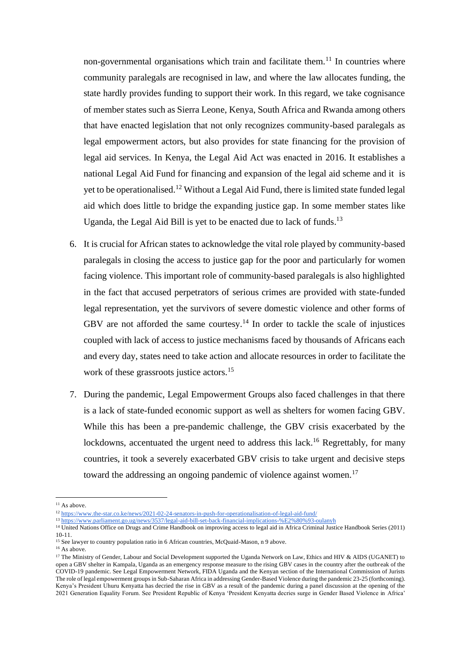non-governmental organisations which train and facilitate them.<sup>11</sup> In countries where community paralegals are recognised in law, and where the law allocates funding, the state hardly provides funding to support their work. In this regard, we take cognisance of member states such as Sierra Leone, Kenya, South Africa and Rwanda among others that have enacted legislation that not only recognizes community-based paralegals as legal empowerment actors, but also provides for state financing for the provision of legal aid services. In Kenya, the Legal Aid Act was enacted in 2016. It establishes a national Legal Aid Fund for financing and expansion of the legal aid scheme and it is yet to be operationalised.<sup>12</sup> Without a Legal Aid Fund, there is limited state funded legal aid which does little to bridge the expanding justice gap. In some member states like Uganda, the Legal Aid Bill is yet to be enacted due to lack of funds.<sup>13</sup>

- 6. It is crucial for African states to acknowledge the vital role played by community-based paralegals in closing the access to justice gap for the poor and particularly for women facing violence. This important role of community-based paralegals is also highlighted in the fact that accused perpetrators of serious crimes are provided with state-funded legal representation, yet the survivors of severe domestic violence and other forms of GBV are not afforded the same courtesy.<sup>14</sup> In order to tackle the scale of injustices coupled with lack of access to justice mechanisms faced by thousands of Africans each and every day, states need to take action and allocate resources in order to facilitate the work of these grassroots justice actors.<sup>15</sup>
- 7. During the pandemic, Legal Empowerment Groups also faced challenges in that there is a lack of state-funded economic support as well as shelters for women facing GBV. While this has been a pre-pandemic challenge, the GBV crisis exacerbated by the lockdowns, accentuated the urgent need to address this lack.<sup>16</sup> Regrettably, for many countries, it took a severely exacerbated GBV crisis to take urgent and decisive steps toward the addressing an ongoing pandemic of violence against women.<sup>17</sup>

- <sup>15</sup> See lawyer to country population ratio in 6 African countries, McQuaid-Mason, n 9 above.
- $16$  As above.

 $11$  As above.

<sup>12</sup> <https://www.the-star.co.ke/news/2021-02-24-senators-in-push-for-operationalisation-of-legal-aid-fund/>

<sup>&</sup>lt;sup>13</sup> [https://www.parliament.go.ug/news/3537/legal-aid-bill-set-back-financial-implications-%E2%80%93-oulanyh](https://www.parliament.go.ug/news/3537/legal-aid-bill-set-back-financial-implications-%E2%80%93-oulanyah)

<sup>&</sup>lt;sup>14</sup> United Nations Office on Drugs and Crime Handbook on improving access to legal aid in Africa Criminal Justice Handbook Series (2011) 10-11.

<sup>&</sup>lt;sup>17</sup> The Ministry of Gender, Labour and Social Development supported the Uganda Network on Law, Ethics and HIV & AIDS (UGANET) to open a GBV shelter in Kampala, Uganda as an emergency response measure to the rising GBV cases in the country after the outbreak of the COVID-19 pandemic. See Legal Empowerment Network, FIDA Uganda and the Kenyan section of the International Commission of Jurists The role of legal empowerment groups in Sub-Saharan Africa in addressing Gender-Based Violence during the pandemic 23-25 (forthcoming). Kenya's President Uhuru Kenyatta has decried the rise in GBV as a result of the pandemic during a panel discussion at the opening of the 2021 Generation Equality Forum. See President Republic of Kenya 'President Kenyatta decries surge in Gender Based Violence in Africa'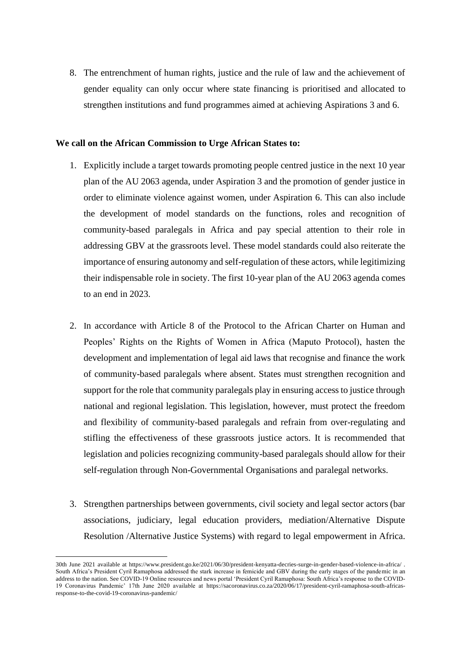8. The entrenchment of human rights, justice and the rule of law and the achievement of gender equality can only occur where state financing is prioritised and allocated to strengthen institutions and fund programmes aimed at achieving Aspirations 3 and 6.

## **We call on the African Commission to Urge African States to:**

- 1. Explicitly include a target towards promoting people centred justice in the next 10 year plan of the AU 2063 agenda, under Aspiration 3 and the promotion of gender justice in order to eliminate violence against women, under Aspiration 6. This can also include the development of model standards on the functions, roles and recognition of community-based paralegals in Africa and pay special attention to their role in addressing GBV at the grassroots level. These model standards could also reiterate the importance of ensuring autonomy and self-regulation of these actors, while legitimizing their indispensable role in society. The first 10-year plan of the AU 2063 agenda comes to an end in 2023.
- 2. In accordance with Article 8 of the Protocol to the African Charter on Human and Peoples' Rights on the Rights of Women in Africa (Maputo Protocol), hasten the development and implementation of legal aid laws that recognise and finance the work of community-based paralegals where absent. States must strengthen recognition and support for the role that community paralegals play in ensuring access to justice through national and regional legislation. This legislation, however, must protect the freedom and flexibility of community-based paralegals and refrain from over-regulating and stifling the effectiveness of these grassroots justice actors. It is recommended that legislation and policies recognizing community-based paralegals should allow for their self-regulation through Non-Governmental Organisations and paralegal networks.
- 3. Strengthen partnerships between governments, civil society and legal sector actors (bar associations, judiciary, legal education providers, mediation/Alternative Dispute Resolution /Alternative Justice Systems) with regard to legal empowerment in Africa.

<sup>30</sup>th June 2021 available at <https://www.president.go.ke/2021/06/30/president-kenyatta-decries-surge-in-gender-based-violence-in-africa/> . South Africa's President Cyril Ramaphosa addressed the stark increase in femicide and GBV during the early stages of the pandemic in an address to the nation. See COVID-19 Online resources and news portal 'President Cyril Ramaphosa: South Africa's response to the COVID-19 Coronavirus Pandemic' 17th June 2020 available at [https://sacoronavirus.co.za/2020/06/17/president-cyril-ramaphosa-south-africas](https://sacoronavirus.co.za/2020/06/17/president-cyril-ramaphosa-south-africas-response-to-the-covid-19-coronavirus-pandemic/)[response-to-the-covid-19-coronavirus-pandemic/](https://sacoronavirus.co.za/2020/06/17/president-cyril-ramaphosa-south-africas-response-to-the-covid-19-coronavirus-pandemic/)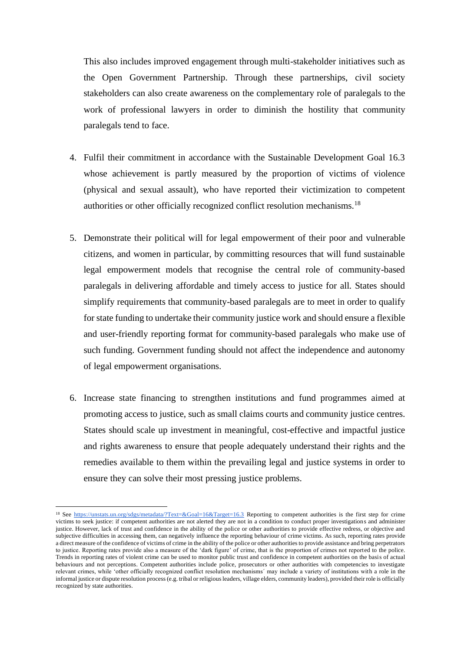This also includes improved engagement through multi-stakeholder initiatives such as the Open Government Partnership. Through these partnerships, civil society stakeholders can also create awareness on the complementary role of paralegals to the work of professional lawyers in order to diminish the hostility that community paralegals tend to face.

- 4. Fulfil their commitment in accordance with the Sustainable Development Goal 16.3 whose achievement is partly measured by the proportion of victims of violence (physical and sexual assault), who have reported their victimization to competent authorities or other officially recognized conflict resolution mechanisms.<sup>18</sup>
- 5. Demonstrate their political will for legal empowerment of their poor and vulnerable citizens, and women in particular, by committing resources that will fund sustainable legal empowerment models that recognise the central role of community-based paralegals in delivering affordable and timely access to justice for all. States should simplify requirements that community-based paralegals are to meet in order to qualify for state funding to undertake their community justice work and should ensure a flexible and user-friendly reporting format for community-based paralegals who make use of such funding. Government funding should not affect the independence and autonomy of legal empowerment organisations.
- 6. Increase state financing to strengthen institutions and fund programmes aimed at promoting access to justice, such as small claims courts and community justice centres. States should scale up investment in meaningful, cost-effective and impactful justice and rights awareness to ensure that people adequately understand their rights and the remedies available to them within the prevailing legal and justice systems in order to ensure they can solve their most pressing justice problems.

<sup>&</sup>lt;sup>18</sup> See<https://unstats.un.org/sdgs/metadata/?Text=&Goal=16&Target=16.3> Reporting to competent authorities is the first step for crime victims to seek justice: if competent authorities are not alerted they are not in a condition to conduct proper investigations and administer justice. However, lack of trust and confidence in the ability of the police or other authorities to provide effective redress, or objective and subjective difficulties in accessing them, can negatively influence the reporting behaviour of crime victims. As such, reporting rates provide a direct measure of the confidence of victims of crime in the ability of the police or other authorities to provide assistance and bring perpetrators to justice. Reporting rates provide also a measure of the 'dark figure' of crime, that is the proportion of crimes not reported to the police. Trends in reporting rates of violent crime can be used to monitor public trust and confidence in competent authorities on the basis of actual behaviours and not perceptions. Competent authorities include police, prosecutors or other authorities with competencies to investigate relevant crimes, while 'other officially recognized conflict resolution mechanisms´ may include a variety of institutions with a role in the informal justice or dispute resolution process (e.g. tribal or religious leaders, village elders, community leaders), provided their role is officially recognized by state authorities.